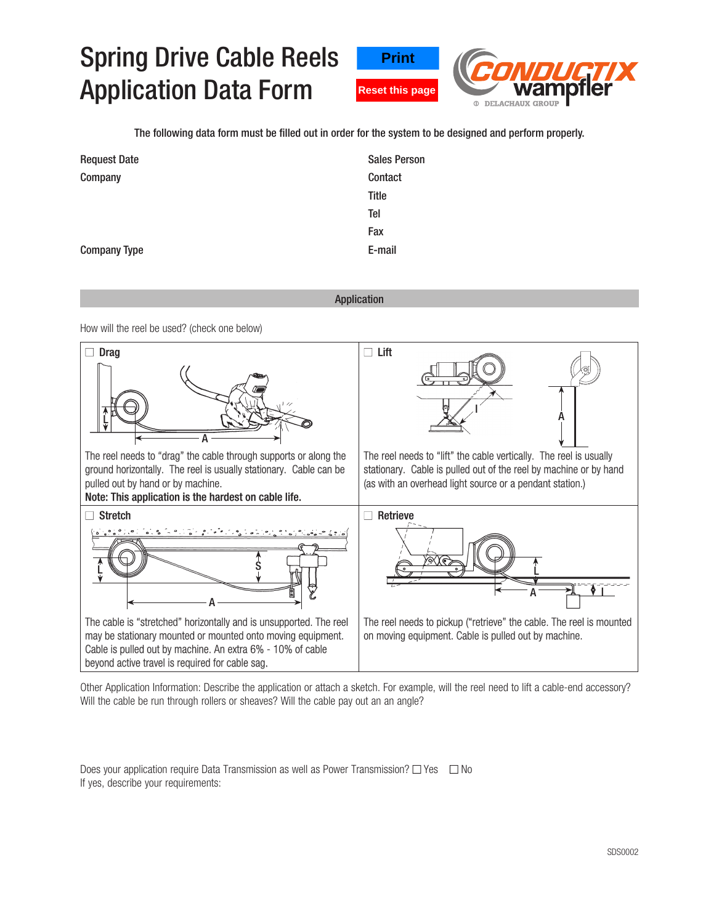## Spring Drive Cable Reels Application Data Form





The following data form must be filled out in order for the system to be designed and perform properly.

| <b>Request Date</b> | <b>Sales Person</b> |
|---------------------|---------------------|
| Company             | Contact             |
|                     | Title               |
|                     | Tel                 |
|                     | Fax                 |
| <b>Company Type</b> | E-mail              |

## Application

How will the reel be used? (check one below)



Other Application Information: Describe the application or attach a sketch. For example, will the reel need to lift a cable-end accessory? Will the cable be run through rollers or sheaves? Will the cable pay out an an angle?

Does your application require Data Transmission as well as Power Transmission?  $\Box$  Yes  $\Box$  No If yes, describe your requirements: